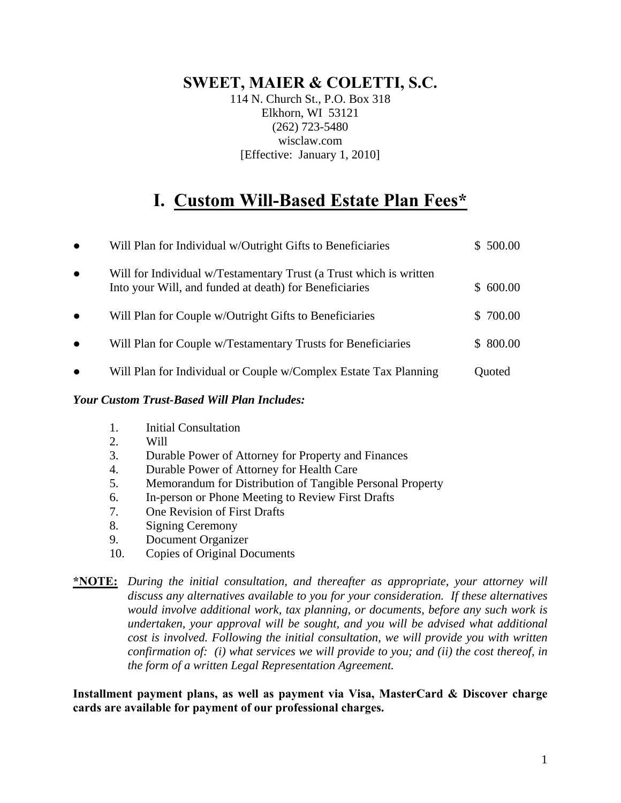### **SWEET, MAIER & COLETTI, S.C.**

114 N. Church St., P.O. Box 318 Elkhorn, WI 53121 (262) 723-5480 wisclaw.com [Effective: January 1, 2010]

## **I. Custom Will-Based Estate Plan Fees\***

| $\bullet$ | Will Plan for Individual w/Outright Gifts to Beneficiaries                                                                   | \$ 500.00 |
|-----------|------------------------------------------------------------------------------------------------------------------------------|-----------|
| $\bullet$ | Will for Individual w/Testamentary Trust (a Trust which is written<br>Into your Will, and funded at death) for Beneficiaries | \$600.00  |
| $\bullet$ | Will Plan for Couple w/Outright Gifts to Beneficiaries                                                                       | \$ 700.00 |
| $\bullet$ | Will Plan for Couple w/Testamentary Trusts for Beneficiaries                                                                 | \$ 800.00 |
| $\bullet$ | Will Plan for Individual or Couple w/Complex Estate Tax Planning                                                             | Quoted    |
|           |                                                                                                                              |           |

### *Your Custom Trust-Based Will Plan Includes:*

- 1. Initial Consultation
- 2. Will
- 3. Durable Power of Attorney for Property and Finances
- 4. Durable Power of Attorney for Health Care
- 5. Memorandum for Distribution of Tangible Personal Property
- 6. In-person or Phone Meeting to Review First Drafts
- 7. One Revision of First Drafts
- 8. Signing Ceremony
- 9. Document Organizer
- 10. Copies of Original Documents

#### **\*NOTE:** *During the initial consultation, and thereafter as appropriate, your attorney will discuss any alternatives available to you for your consideration. If these alternatives would involve additional work, tax planning, or documents, before any such work is undertaken, your approval will be sought, and you will be advised what additional cost is involved. Following the initial consultation, we will provide you with written confirmation of: (i) what services we will provide to you; and (ii) the cost thereof, in the form of a written Legal Representation Agreement.*

**Installment payment plans, as well as payment via Visa, MasterCard & Discover charge cards are available for payment of our professional charges.**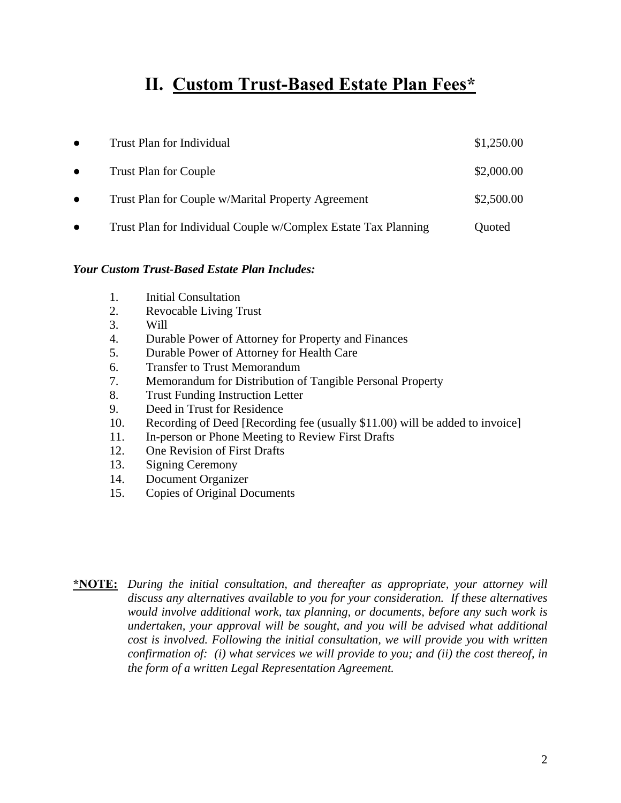### **II. Custom Trust-Based Estate Plan Fees\***

| $\bullet$ | Trust Plan for Individual                                      | \$1,250.00 |
|-----------|----------------------------------------------------------------|------------|
| $\bullet$ | <b>Trust Plan for Couple</b>                                   | \$2,000.00 |
| $\bullet$ | Trust Plan for Couple w/Marital Property Agreement             | \$2,500.00 |
|           | Trust Plan for Individual Couple w/Complex Estate Tax Planning | Quoted     |

#### *Your Custom Trust-Based Estate Plan Includes:*

- 1. Initial Consultation
- 2. Revocable Living Trust
- 3. Will
- 4. Durable Power of Attorney for Property and Finances
- 5. Durable Power of Attorney for Health Care
- 6. Transfer to Trust Memorandum
- 7. Memorandum for Distribution of Tangible Personal Property
- 8. Trust Funding Instruction Letter
- 9. Deed in Trust for Residence
- 10. Recording of Deed [Recording fee (usually \$11.00) will be added to invoice]
- 11. In-person or Phone Meeting to Review First Drafts
- 12. One Revision of First Drafts
- 13. Signing Ceremony
- 14. Document Organizer
- 15. Copies of Original Documents

**\*NOTE:** *During the initial consultation, and thereafter as appropriate, your attorney will discuss any alternatives available to you for your consideration. If these alternatives would involve additional work, tax planning, or documents, before any such work is undertaken, your approval will be sought, and you will be advised what additional cost is involved. Following the initial consultation, we will provide you with written confirmation of: (i) what services we will provide to you; and (ii) the cost thereof, in the form of a written Legal Representation Agreement.*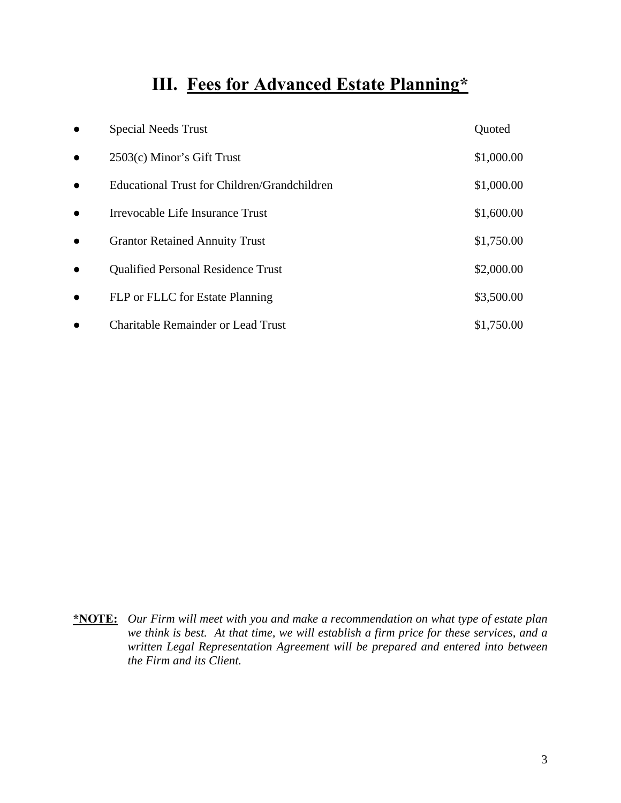# **III. Fees for Advanced Estate Planning\***

|           | <b>Special Needs Trust</b>                   | Quoted     |
|-----------|----------------------------------------------|------------|
| $\bullet$ | 2503(c) Minor's Gift Trust                   | \$1,000.00 |
| $\bullet$ | Educational Trust for Children/Grandchildren | \$1,000.00 |
| $\bullet$ | Irrevocable Life Insurance Trust             | \$1,600.00 |
| $\bullet$ | <b>Grantor Retained Annuity Trust</b>        | \$1,750.00 |
|           | <b>Qualified Personal Residence Trust</b>    | \$2,000.00 |
| $\bullet$ | FLP or FLLC for Estate Planning              | \$3,500.00 |
|           | <b>Charitable Remainder or Lead Trust</b>    | \$1,750.00 |

**\*NOTE:** *Our Firm will meet with you and make a recommendation on what type of estate plan we think is best. At that time, we will establish a firm price for these services, and a written Legal Representation Agreement will be prepared and entered into between the Firm and its Client.*